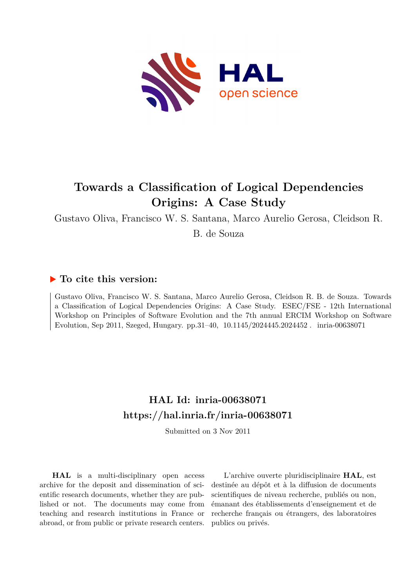

# **Towards a Classification of Logical Dependencies Origins: A Case Study**

Gustavo Oliva, Francisco W. S. Santana, Marco Aurelio Gerosa, Cleidson R.

B. de Souza

# **To cite this version:**

Gustavo Oliva, Francisco W. S. Santana, Marco Aurelio Gerosa, Cleidson R. B. de Souza. Towards a Classification of Logical Dependencies Origins: A Case Study. ESEC/FSE - 12th International Workshop on Principles of Software Evolution and the 7th annual ERCIM Workshop on Software Evolution, Sep 2011, Szeged, Hungary. pp.31–40, 10.1145/2024445.2024452. inria-00638071

# **HAL Id: inria-00638071 <https://hal.inria.fr/inria-00638071>**

Submitted on 3 Nov 2011

**HAL** is a multi-disciplinary open access archive for the deposit and dissemination of scientific research documents, whether they are published or not. The documents may come from teaching and research institutions in France or abroad, or from public or private research centers.

L'archive ouverte pluridisciplinaire **HAL**, est destinée au dépôt et à la diffusion de documents scientifiques de niveau recherche, publiés ou non, émanant des établissements d'enseignement et de recherche français ou étrangers, des laboratoires publics ou privés.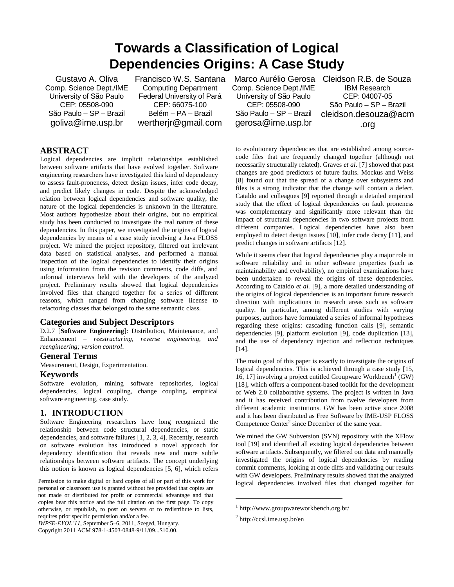# **Towards a Classification of Logical Dependencies Origins: A Case Study**

Gustavo A. Oliva Comp. Science Dept./IME University of São Paulo CEP: 05508-090 São Paulo – SP – Brazil goliva@ime.usp.br

Francisco W.S. Santana Computing Department Federal University of Pará CEP: 66075-100 Belém – PA – Brazil wertherjr@gmail.com

Comp. Science Dept./IME University of São Paulo CEP: 05508-090 São Paulo – SP – Brazil gerosa@ime.usp.br

Marco Aurélio Gerosa Cleidson R.B. de Souza IBM Research CEP: 04007-05 São Paulo – SP – Brazil cleidson.desouza@acm .org

# **ABSTRACT**

Logical dependencies are implicit relationships established between software artifacts that have evolved together. Software engineering researchers have investigated this kind of dependency to assess fault-proneness, detect design issues, infer code decay, and predict likely changes in code. Despite the acknowledged relation between logical dependencies and software quality, the nature of the logical dependencies is unknown in the literature. Most authors hypothesize about their origins, but no empirical study has been conducted to investigate the real nature of these dependencies. In this paper, we investigated the origins of logical dependencies by means of a case study involving a Java FLOSS project. We mined the project repository, filtered out irrelevant data based on statistical analyses, and performed a manual inspection of the logical dependencies to identify their origins using information from the revision comments, code diffs, and informal interviews held with the developers of the analyzed project. Preliminary results showed that logical dependencies involved files that changed together for a series of different reasons, which ranged from changing software license to refactoring classes that belonged to the same semantic class.

# **Categories and Subject Descriptors**

D.2.7 [**Software Engineering**]: Distribution, Maintenance, and Enhancement – *reestructuring, reverse engineering, and reengineering; version control*.

## **General Terms**

Measurement, Design, Experimentation.

### **Keywords**

Software evolution, mining software repositories, logical dependencies, logical coupling, change coupling, empirical software engineering, case study.

# **1. INTRODUCTION**

Software Engineering researchers have long recognized the relationship between code structural dependencies, or static dependencies, and software failures [1, 2, 3, 4]. Recently, research on software evolution has introduced a novel approach for dependency identification that reveals new and more subtle relationships between software artifacts. The concept underlying this notion is known as logical dependencies  $[5, 6]$ , which refers

*IWPSE-EVOL'11*, September 5–6, 2011, Szeged, Hungary. Copyright 2011 ACM 978-1-4503-0848-9/11/09...\$10.00.

to evolutionary dependencies that are established among sourcecode files that are frequently changed together (although not necessarily structurally related). Graves *et al*. [7] showed that past changes are good predictors of future faults. Mockus and Weiss [8] found out that the spread of a change over subsystems and files is a strong indicator that the change will contain a defect. Cataldo and colleagues [9] reported through a detailed empirical study that the effect of logical dependencies on fault proneness was complementary and significantly more relevant than the impact of structural dependencies in two software projects from different companies. Logical dependencies have also been employed to detect design issues [10], infer code decay [11], and predict changes in software artifacts [12].

While it seems clear that logical dependencies play a major role in software reliability and in other software properties (such as maintainability and evolvability), no empirical examinations have been undertaken to reveal the origins of these dependencies. According to Cataldo *et al.* [9], a more detailed understanding of the origins of logical dependencies is an important future research direction with implications in research areas such as software quality. In particular, among different studies with varying purposes, authors have formulated a series of informal hypotheses regarding these origins: cascading function calls [9], semantic dependencies [9], platform evolution [9], code duplication [13], and the use of dependency injection and reflection techniques [14].

The main goal of this paper is exactly to investigate the origins of logical dependencies. This is achieved through a case study [15, 16, 17] involving a project entitled Groupware Workbench<sup>1</sup> (GW) [18], which offers a component-based toolkit for the development of Web 2.0 collaborative systems. The project is written in Java and it has received contribution from twelve developers from different academic institutions. GW has been active since 2008 and it has been distributed as Free Software by IME-USP FLOSS Competence Center<sup>2</sup> since December of the same year.

We mined the GW Subversion (SVN) repository with the XFlow tool [19] and identified all existing logical dependencies between software artifacts. Subsequently, we filtered out data and manually investigated the origins of logical dependencies by reading commit comments, looking at code diffs and validating our results with GW developers. Preliminary results showed that the analyzed logical dependencies involved files that changed together for

 $\overline{a}$ 

Permission to make digital or hard copies of all or part of this work for personal or classroom use is granted without fee provided that copies are not made or distributed for profit or commercial advantage and that copies bear this notice and the full citation on the first page. To copy otherwise, or republish, to post on servers or to redistribute to lists, requires prior specific permission and/or a fee.

<sup>1</sup> http://www.groupwareworkbench.org.br/

<sup>&</sup>lt;sup>2</sup> http://ccsl.ime.usp.br/en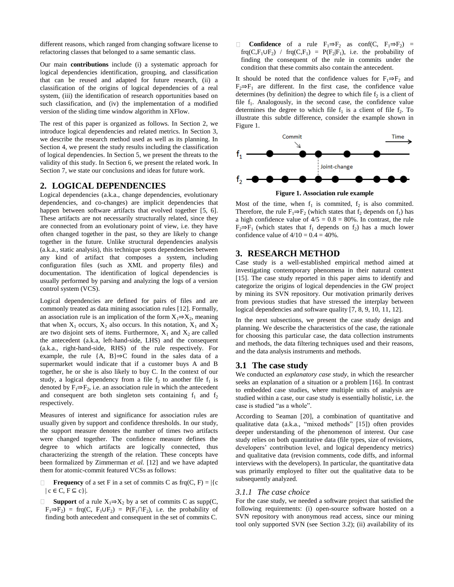different reasons, which ranged from changing software license to refactoring classes that belonged to a same semantic class.

Our main **contributions** include (i) a systematic approach for logical dependencies identification, grouping, and classification that can be reused and adapted for future research, (ii) a classification of the origins of logical dependencies of a real system, (iii) the identification of research opportunities based on such classification, and (iv) the implementation of a modified version of the sliding time window algorithm in XFlow.

The rest of this paper is organized as follows. In Section 2, we introduce logical dependencies and related metrics. In Section 3, we describe the research method used as well as its planning. In Section 4, we present the study results including the classification of logical dependencies. In Section 5, we present the threats to the validity of this study. In Section 6, we present the related work. In Section 7, we state our conclusions and ideas for future work.

#### **2. LOGICAL DEPENDENCIES**

Logical dependencies (a.k.a., change dependencies, evolutionary dependencies, and co-changes) are implicit dependencies that happen between software artifacts that evolved together [5, 6]. These artifacts are not necessarily structurally related, since they are connected from an evolutionary point of view, i.e. they have often changed together in the past, so they are likely to change together in the future. Unlike structural dependencies analysis (a.k.a., static analysis), this technique spots dependencies between any kind of artifact that composes a system, including configuration files (such as XML and property files) and documentation. The identification of logical dependencies is usually performed by parsing and analyzing the logs of a version control system (VCS).

Logical dependencies are defined for pairs of files and are commonly treated as data mining association rules [12]. Formally, an association rule is an implication of the form  $X_1 \Rightarrow X_2$ , meaning that when  $X_1$  occurs,  $X_2$  also occurs. In this notation,  $X_1$  and  $X_2$ are two disjoint sets of items. Furthermore,  $X_1$  and  $X_2$  are called the antecedent (a.k.a, left-hand-side, LHS) and the consequent (a.k.a., right-hand-side, RHS) of the rule respectively. For example, the rule  ${A, B} \Rightarrow C$  found in the sales data of a supermarket would indicate that if a customer buys A and B together, he or she is also likely to buy C. In the context of our study, a logical dependency from a file  $f_2$  to another file  $f_1$  is denoted by  $F_1 \Rightarrow F_2$ , i.e. an association rule in which the antecedent and consequent are both singleton sets containing  $f_1$  and  $f_2$ respectively.

Measures of interest and significance for association rules are usually given by support and confidence thresholds. In our study, the support measure denotes the number of times two artifacts were changed together. The confidence measure defines the degree to which artifacts are logically connected, thus characterizing the strength of the relation. These concepts have been formalized by Zimmerman *et al.* [12] and we have adapted them for atomic-commit featured VCSs as follows:

- **Frequency** of a set F in a set of commits C as  $\text{frq}(C, F) = |\{c\}$ П.  $| c \in C, F \subseteq c |$ .
- **Support** of a rule  $X_1 \Rightarrow X_2$  by a set of commits C as supp(C,  $\Box$  $F_1 \Rightarrow F_2$  = frq(C,  $F_1 \cup F_2$ ) = P( $F_1 \cap F_2$ ), i.e. the probability of finding both antecedent and consequent in the set of commits C.

 $\Box$ **Confidence** of a rule  $F_1 \Rightarrow F_2$  as conf(C,  $F_1 \Rightarrow F_2$ ) = frq(C,F<sub>1</sub>∪F<sub>2</sub>) / frq(C,F<sub>1</sub>) = P(F<sub>2</sub>|F<sub>1</sub>), i.e. the probability of finding the consequent of the rule in commits under the condition that these commits also contain the antecedent.

It should be noted that the confidence values for  $F_1 \Rightarrow F_2$  and  $F_2 \Rightarrow F_1$  are different. In the first case, the confidence value determines (by definition) the degree to which file  $f_2$  is a client of file f<sub>1</sub>. Analogously, in the second case, the confidence value determines the degree to which file  $f_1$  is a client of file  $f_2$ . To illustrate this subtle difference, consider the example shown in [Figure 1.](#page-2-0)



**Figure 1. Association rule example**

<span id="page-2-0"></span>Most of the time, when  $f_1$  is commited,  $f_2$  is also commited. Therefore, the rule  $F_1 \Rightarrow F_2$  (which states that  $f_2$  depends on  $f_1$ ) has a high confidence value of  $4/5 = 0.8 = 80\%$ . In contrast, the rule  $F_2 \Rightarrow F_1$  (which states that  $f_1$  depends on  $f_2$ ) has a much lower confidence value of  $4/10 = 0.4 = 40\%$ .

#### **3. RESEARCH METHOD**

Case study is a well-established empirical method aimed at investigating contemporary phenomena in their natural context [15]. The case study reported in this paper aims to identify and categorize the origins of logical dependencies in the GW project by mining its SVN repository. Our motivation primarily derives from previous studies that have stressed the interplay between logical dependencies and software quality [7, 8, 9, 10, 11, 12].

In the next subsections, we present the case study design and planning. We describe the characteristics of the case, the rationale for choosing this particular case, the data collection instruments and methods, the data filtering techniques used and their reasons, and the data analysis instruments and methods.

#### **3.1 The case study**

We conducted an *explanatory case study*, in which the researcher seeks an explanation of a situation or a problem [16]. In contrast to embedded case studies, where multiple units of analysis are studied within a case, our case study is essentially holistic, i.e. the case is studied "as a whole".

According to Seaman [20], a combination of quantitative and qualitative data (a.k.a., "mixed methods" [15]) often provides deeper understanding of the phenomenon of interest. Our case study relies on both quantitative data (file types, size of revisions, developers' contribution level, and logical dependency metrics) and qualitative data (revision comments, code diffs, and informal interviews with the developers). In particular, the quantitative data was primarily employed to filter out the qualitative data to be subsequently analyzed.

#### *3.1.1 The case choice*

For the case study, we needed a software project that satisfied the following requirements: (i) open-source software hosted on a SVN repository with anonymous read access, since our mining tool only supported SVN (see Section 3.2); (ii) availability of its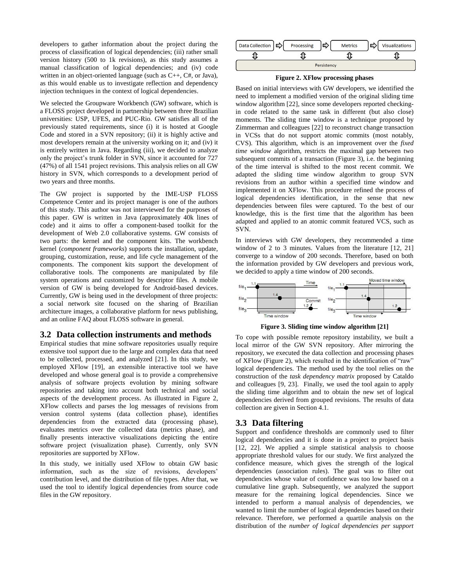developers to gather information about the project during the process of classification of logical dependencies; (iii) rather small version history (500 to 1k revisions), as this study assumes a manual classification of logical dependencies; and (iv) code written in an object-oriented language (such as C++, C#, or Java), as this would enable us to investigate reflection and dependency injection techniques in the context of logical dependencies.

We selected the Groupware Workbench (GW) software, which is a FLOSS project developed in partnership between three Brazilian universities: USP, UFES, and PUC-Rio. GW satisfies all of the previously stated requirements, since (i) it is hosted at Google Code and stored in a SVN repository; (ii) it is highly active and most developers remain at the university working on it; and (iv) it is entirely written in Java. Regarding (iii), we decided to analyze only the project's trunk folder in SVN, since it accounted for 727 (47%) of all 1541 project revisions. This analysis relies on all GW history in SVN, which corresponds to a development period of two years and three months.

The GW project is supported by the IME-USP FLOSS Competence Center and its project manager is one of the authors of this study. This author was not interviewed for the purposes of this paper. GW is written in Java (approximately 40k lines of code) and it aims to offer a component-based toolkit for the development of Web 2.0 collaborative systems. GW consists of two parts: the kernel and the component kits. The workbench kernel (*component frameworks*) supports the installation, update, grouping, customization, reuse, and life cycle management of the components. The component kits support the development of collaborative tools. The components are manipulated by file system operations and customized by descriptor files. A mobile version of GW is being developed for Android-based devices. Currently, GW is being used in the development of three projects: a social network site focused on the sharing of Brazilian architecture images, a collaborative platform for news publishing, and an online FAQ about FLOSS software in general.

#### **3.2 Data collection instruments and methods**

Empirical studies that mine software repositories usually require extensive tool support due to the large and complex data that need to be collected, processed, and analyzed [21]. In this study, we employed XFlow [19], an extensible interactive tool we have developed and whose general goal is to provide a comprehensive analysis of software projects evolution by mining software repositories and taking into account both technical and social aspects of the development process. As illustrated in Figure 2, XFlow collects and parses the log messages of revisions from version control systems (data collection phase), identifies dependencies from the extracted data (processing phase), evaluates metrics over the collected data (metrics phase), and finally presents interactive visualizations depicting the entire software project (visualization phase). Currently, only SVN repositories are supported by XFlow.

In this study, we initially used XFlow to obtain GW basic information, such as the size of revisions, developers' contribution level, and the distribution of file types. After that, we used the tool to identify logical dependencies from source code files in the GW repository.



**Figure 2. XFlow processing phases**

Based on initial interviews with GW developers, we identified the need to implement a modified version of the original sliding time window algorithm [22], since some developers reported checkingin code related to the same task in different (but also close) moments. The sliding time window is a technique proposed by Zimmerman and colleagues [22] to reconstruct change transaction in VCSs that do not support atomic commits (most notably, CVS). This algorithm, which is an improvement over the *fixed time window* algorithm, restricts the maximal gap between two subsequent commits of a transaction (Figure 3), i.e. the beginning of the time interval is shifted to the most recent commit. We adapted the sliding time window algorithm to group SVN revisions from an author within a specified time window and implemented it on XFlow. This procedure refined the process of logical dependencies identification, in the sense that new dependencies between files were captured. To the best of our knowledge, this is the first time that the algorithm has been adapted and applied to an atomic commit featured VCS, such as SVN.

In interviews with GW developers, they recommended a time window of 2 to 3 minutes. Values from the literature [12, 21] converge to a window of 200 seconds. Therefore, based on both the information provided by GW developers and previous work, we decided to apply a time window of 200 seconds.



**Figure 3. Sliding time window algorithm [21]**

To cope with possible remote repository instability, we built a local mirror of the GW SVN repository. After mirroring the repository, we executed the data collection and processing phases of XFlow (Figure 2), which resulted in the identification of "raw" logical dependencies. The method used by the tool relies on the construction of the *task dependency matrix* proposed by Cataldo and colleagues [9, 23].Finally, we used the tool again to apply the sliding time algorithm and to obtain the new set of logical dependencies derived from grouped revisions. The results of data collection are given in Section 4.1.

### **3.3 Data filtering**

Support and confidence thresholds are commonly used to filter logical dependencies and it is done in a project to project basis [12, 22]. We applied a simple statistical analysis to choose appropriate threshold values for our study. We first analyzed the confidence measure, which gives the strength of the logical dependencies (association rules). The goal was to filter out dependencies whose value of confidence was too low based on a cumulative line graph. Subsequently, we analyzed the support measure for the remaining logical dependencies. Since we intended to perform a manual analysis of dependencies, we wanted to limit the number of logical dependencies based on their relevance. Therefore, we performed a quartile analysis on the distribution of the *number of logical dependencies per support*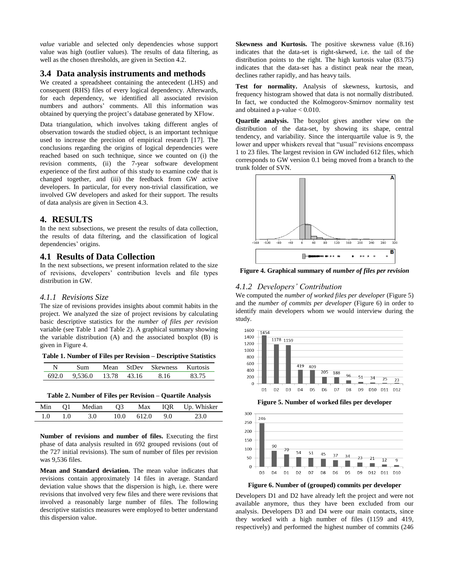*value* variable and selected only dependencies whose support value was high (outlier values). The results of data filtering, as well as the chosen thresholds, are given in Section 4.2.

#### **3.4 Data analysis instruments and methods**

We created a spreadsheet containing the antecedent (LHS) and consequent (RHS) files of every logical dependency. Afterwards, for each dependency, we identified all associated revision numbers and authors' comments. All this information was obtained by querying the project's database generated by XFlow.

Data triangulation, which involves taking different angles of observation towards the studied object, is an important technique used to increase the precision of empirical research [17]. The conclusions regarding the origins of logical dependencies were reached based on such technique, since we counted on (i) the revision comments, (ii) the 7-year software development experience of the first author of this study to examine code that is changed together, and (iii) the feedback from GW active developers. In particular, for every non-trivial classification, we involved GW developers and asked for their support. The results of data analysis are given in Section 4.3.

#### **4. RESULTS**

In the next subsections, we present the results of data collection, the results of data filtering, and the classification of logical dependencies' origins.

#### **4.1 Results of Data Collection**

In the next subsections, we present information related to the size of revisions, developers' contribution levels and file types distribution in GW.

#### *4.1.1 Revisions Size*

The size of revisions provides insights about commit habits in the project. We analyzed the size of project revisions by calculating basic descriptive statistics for the *number of files per revision* variable (see Table 1 and Table 2). A graphical summary showing the variable distribution (A) and the associated boxplot (B) is given in Figure 4.

|  |  |  | Table 1. Number of Files per Revision - Descriptive Statistics |  |  |
|--|--|--|----------------------------------------------------------------|--|--|
|  |  |  |                                                                |  |  |

| Sum                       |  | Mean StDev Skewness Kurtosis |       |
|---------------------------|--|------------------------------|-------|
| 692.0 9.536.0 13.78 43.16 |  | 8.16                         | 83.75 |

**Table 2. Number of Files per Revision – Quartile Analysis**

| $Min$ $O1$ |     | Median O3 |                   |           | Max IQR Up. Whisker |
|------------|-----|-----------|-------------------|-----------|---------------------|
| - 1.0      | 1.0 | 3.0       | 10.0 <sup>1</sup> | 612.0 9.0 | 23.0                |

**Number of revisions and number of files.** Executing the first phase of data analysis resulted in 692 grouped revisions (out of the 727 initial revisions). The sum of number of files per revision was 9,536 files.

**Mean and Standard deviation.** The mean value indicates that revisions contain approximately 14 files in average. Standard deviation value shows that the dispersion is high, i.e. there were revisions that involved very few files and there were revisions that involved a reasonably large number of files. The following descriptive statistics measures were employed to better understand this dispersion value.

**Skewness and Kurtosis.** The positive skewness value (8.16) indicates that the data-set is right-skewed, i.e. the tail of the distribution points to the right. The high kurtosis value (83.75) indicates that the data-set has a distinct peak near the mean, declines rather rapidly, and has heavy tails.

**Test for normality.** Analysis of skewness, kurtosis, and frequency histogram showed that data is not normally distributed. In fact, we conducted the Kolmogorov-Smirnov normality test and obtained a p-value < 0.010.

**Quartile analysis.** The boxplot gives another view on the distribution of the data-set, by showing its shape, central tendency, and variability. Since the interquartile value is 9, the lower and upper whiskers reveal that "usual" revisions encompass 1 to 23 files. The largest revision in GW included 612 files, which corresponds to GW version 0.1 being moved from a branch to the trunk folder of SVN.



**Figure 4. Graphical summary of** *number of files per revision*

#### *4.1.2 Developers' Contribution*

We computed the *number of worked files per developer* (Figure 5) and the *number of commits per developer* (Figure 6) in order to identify main developers whom we would interview during the study.



**Figure 5. Number of worked files per developer**



**Figure 6. Number of (grouped) commits per developer**

Developers D1 and D2 have already left the project and were not available anymore, thus they have been excluded from our analysis. Developers D3 and D4 were our main contacts, since they worked with a high number of files (1159 and 419, respectively) and performed the highest number of commits (246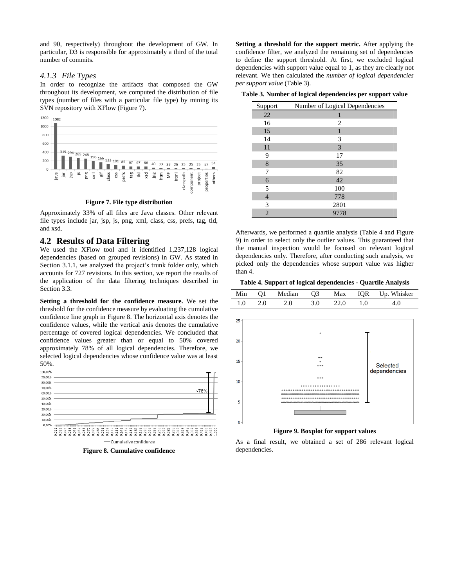and 90, respectively) throughout the development of GW. In particular, D3 is responsible for approximately a third of the total number of commits.

#### *4.1.3 File Types*

In order to recognize the artifacts that composed the GW throughout its development, we computed the distribution of file types (number of files with a particular file type) by mining its SVN repository with XFlow (Figure 7).



**Figure 7. File type distribution**

Approximately 33% of all files are Java classes. Other relevant file types include jar, jsp, js, png, xml, class, css, prefs, tag, tld, and xsd.

# **4.2 Results of Data Filtering**

We used the XFlow tool and it identified 1,237,128 logical dependencies (based on grouped revisions) in GW. As stated in Section 3.1.1, we analyzed the project's trunk folder only, which accounts for 727 revisions. In this section, we report the results of the application of the data filtering techniques described in Section 3.3.

**Setting a threshold for the confidence measure.** We set the threshold for the confidence measure by evaluating the cumulative confidence line graph in Figure 8. The horizontal axis denotes the confidence values, while the vertical axis denotes the cumulative percentage of covered logical dependencies. We concluded that confidence values greater than or equal to 50% covered approximately 78% of all logical dependencies. Therefore, we selected logical dependencies whose confidence value was at least 50%.



**Figure 8. Cumulative confidence**

**Setting a threshold for the support metric.** After applying the confidence filter, we analyzed the remaining set of dependencies to define the support threshold. At first, we excluded logical dependencies with support value equal to 1, as they are clearly not relevant. We then calculated the *number of logical dependencies per support value* (Table 3).

**Table 3. Number of logical dependencies per support value**

| Support        | Number of Logical Dependencies |
|----------------|--------------------------------|
| 22             |                                |
| 16             | 2                              |
| 15             |                                |
| 14             | 3                              |
| 11             | 3                              |
| 9              | 17                             |
| 8              | 35                             |
|                | 82                             |
| 6              | 42                             |
| 5              | 100                            |
| 4              | 778                            |
| 3              | 2801                           |
| $\overline{2}$ | 9778                           |

Afterwards, we performed a quartile analysis (Table 4 and Figure 9) in order to select only the outlier values. This guaranteed that the manual inspection would be focused on relevant logical dependencies only. Therefore, after conducting such analysis, we picked only the dependencies whose support value was higher than 4.

**Table 4. Support of logical dependencies - Quartile Analysis**

| $Min$ $01$ | Median 03 |     |      |       | Max IQR Up. Whisker |
|------------|-----------|-----|------|-------|---------------------|
| 2.0        | - 2.0     | 3.0 | 22.0 | - 1.0 |                     |



**Figure 9. Boxplot for support values**

As a final result, we obtained a set of 286 relevant logical dependencies.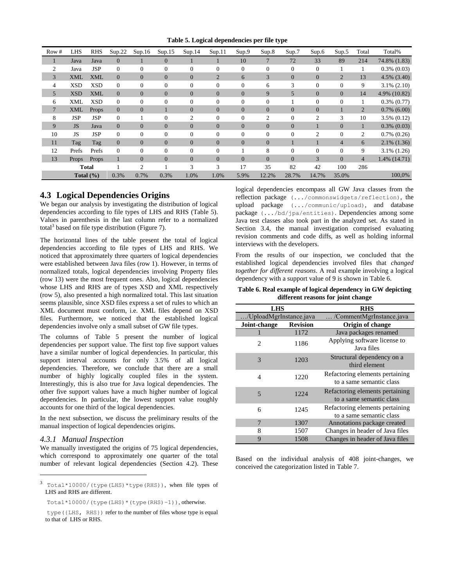**Table 5. Logical dependencies per file type**

| Row#           | <b>LHS</b>  | <b>RHS</b>    | Sup.22         | Sup.16           | Sup.15         | Sup.14         | Sup.11         | Sup.9          | Sup.8          | Sup.7          | Sup.6          | Sup.5          | Total          | Total%           |
|----------------|-------------|---------------|----------------|------------------|----------------|----------------|----------------|----------------|----------------|----------------|----------------|----------------|----------------|------------------|
|                | Java        | Java          | $\overline{0}$ |                  | $\overline{0}$ |                |                | 10             |                | 72             | 33             | 89             | 214            | 74.8% (1.83)     |
| 2              | Java        | <b>JSP</b>    | $\Omega$       | $\mathbf{0}$     | $\Omega$       | $\mathbf{0}$   | $\Omega$       | $\Omega$       | $\Omega$       | $\Omega$       | $\Omega$       |                |                | $0.3\%$ $(0.03)$ |
| 3 <sup>1</sup> | <b>XML</b>  | <b>XML</b>    | $\Omega$       | $\overline{0}$   | $\Omega$       | $\overline{0}$ | $\overline{2}$ | 6              | 3              | $\overline{0}$ | $\overline{0}$ | $\overline{2}$ | 13             | $4.5\%$ $(3.40)$ |
| 4              | <b>XSD</b>  | <b>XSD</b>    | $\mathbf{0}$   | $\mathbf{0}$     | $\Omega$       | $\mathbf{0}$   | $\Omega$       | $\mathbf{0}$   | 6              | 3              | $\mathbf{0}$   | $\mathbf{0}$   | 9              | $3.1\%$ $(2.10)$ |
| 5              | <b>XSD</b>  | <b>XML</b>    | $\Omega$       | $\overline{0}$   | $\overline{0}$ | $\overline{0}$ | $\Omega$       | $\mathbf{0}$   | 9              | $\overline{5}$ | $\overline{0}$ | $\overline{0}$ | 14             | 4.9% (10.82)     |
| 6              | <b>XML</b>  | <b>XSD</b>    | $\overline{0}$ | $\mathbf{0}$     | $\Omega$       | $\mathbf{0}$   | $\Omega$       | $\Omega$       | $\Omega$       |                | $\Omega$       | $\Omega$       |                | $0.3\%$ $(0.77)$ |
| 7              | <b>XML</b>  | Props         | $\overline{0}$ | $\boldsymbol{0}$ |                | $\overline{0}$ | $\mathbf{0}$   | $\mathbf{0}$   | $\overline{0}$ | $\mathbf{0}$   | $\overline{0}$ |                | 2              | $0.7\%$ (6.00)   |
| 8              | <b>JSP</b>  | <b>JSP</b>    | $\mathbf{0}$   |                  | $\Omega$       | $\overline{2}$ | $\Omega$       | $\Omega$       | 2              | $\Omega$       | 2              | 3              | 10             | $3.5\%$ $(0.12)$ |
| 9              | <b>JS</b>   | Java          | $\Omega$       | $\overline{0}$   | $\Omega$       | $\overline{0}$ | $\Omega$       | $\Omega$       | $\Omega$       | $\Omega$       |                | $\mathbf{0}$   |                | $0.3\%$ $(0.03)$ |
| 10             | <b>JS</b>   | <b>JSP</b>    | $\mathbf{0}$   | $\mathbf{0}$     | $\Omega$       | $\mathbf{0}$   | $\Omega$       | $\mathbf{0}$   | $\Omega$       | $\Omega$       | $\overline{2}$ | $\mathbf{0}$   | 2              | $0.7\%$ $(0.26)$ |
| 11             | Tag         | Tag           | $\overline{0}$ | $\mathbf{0}$     | $\mathbf{0}$   | $\theta$       | $\Omega$       | $\overline{0}$ | $\Omega$       |                |                | $\overline{4}$ | 6              | $2.1\%$ (1.36)   |
| 12             | Prefs       | Prefs         | $\Omega$       | $\Omega$         | $\Omega$       | $\Omega$       | $\Omega$       |                | 8              | $\Omega$       | $\Omega$       | $\Omega$       | 9              | $3.1\%$ $(1.26)$ |
| 13             | Props Props |               |                | $\overline{0}$   | $\overline{0}$ | $\overline{0}$ | $\Omega$       | $\Omega$       | $\Omega$       | $\Omega$       | 3              | $\Omega$       | $\overline{4}$ | 1.4% (14.71)     |
|                |             | <b>Total</b>  |                | 2                |                | 3              | 3              | 17             | 35             | 82             | 42             | 100            | 286            |                  |
|                |             | Total $(\% )$ | 0.3%           | 0.7%             | 0.3%           | 1.0%           | 1.0%           | 5.9%           | 12.2%          | 28.7%          | 14.7%          | 35.0%          |                | 100.0%           |

# **4.3 Logical Dependencies Origins**

We began our analysis by investigating the distribution of logical dependencies according to file types of LHS and RHS (Table 5). Values in parenthesis in the last column refer to a normalized total<sup>3</sup> based on file type distribution (Figure 7).

The horizontal lines of the table present the total of logical dependencies according to file types of LHS and RHS. We noticed that approximately three quarters of logical dependencies were established between Java files (row 1). However, in terms of normalized totals, logical dependencies involving Property files (row 13) were the most frequent ones. Also, logical dependencies whose LHS and RHS are of types XSD and XML respectively (row 5), also presented a high normalized total. This last situation seems plausible, since XSD files express a set of rules to which an XML document must conform, i.e. XML files depend on XSD files. Furthermore, we noticed that the established logical dependencies involve only a small subset of GW file types.

The columns of Table 5 present the number of logical dependencies per support value. The first top five support values have a similar number of logical dependencies. In particular, this support interval accounts for only 3.5% of all logical dependencies. Therefore, we conclude that there are a small number of highly logically coupled files in the system. Interestingly, this is also true for Java logical dependencies. The other five support values have a much higher number of logical dependencies. In particular, the lowest support value roughly accounts for one third of the logical dependencies.

In the next subsection, we discuss the preliminary results of the manual inspection of logical dependencies origins.

#### *4.3.1 Manual Inspection*

 $\overline{a}$ 

We manually investigated the origins of 75 logical dependencies, which correspond to approximately one quarter of the total number of relevant logical dependencies (Section 4.2). These logical dependencies encompass all GW Java classes from the reflection package (.../commonswidgets/reflection), the upload package (.../communic/upload), and database package (.../bd/jpa/entities). Dependencies among some Java test classes also took part in the analyzed set. As stated in Section 3.4, the manual investigation comprised evaluating revision comments and code diffs, as well as holding informal interviews with the developers.

From the results of our inspection, we concluded that the established logical dependencies involved files that *changed together for different reasons*. A real example involving a logical dependency with a support value of 9 is shown in Table 6.

**Table 6. Real example of logical dependency in GW depicting different reasons for joint change**

| <b>LHS</b>              |                 | <b>RHS</b>                                                  |
|-------------------------|-----------------|-------------------------------------------------------------|
| /UploadMgrInstance.java |                 | /CommentMgrInstance.java                                    |
| Joint-change            | <b>Revision</b> | Origin of change                                            |
|                         | 1172            | Java packages renamed                                       |
| 2                       | 1186            | Applying software license to<br>Java files                  |
| 3                       | 1203            | Structural dependency on a<br>third element                 |
| 4                       | 1220            | Refactoring elements pertaining<br>to a same semantic class |
| $\overline{5}$          | 1224            | Refactoring elements pertaining<br>to a same semantic class |
| 6                       | 1245            | Refactoring elements pertaining<br>to a same semantic class |
| 7                       | 1307            | Annotations package created                                 |
| 8                       | 1507            | Changes in header of Java files                             |
| 9                       | 1508            | Changes in header of Java files                             |

Based on the individual analysis of 408 joint-changes, we conceived the categorization listed in Table 7.

<sup>3</sup> Total\*10000/(type(LHS)\*type(RHS)), when file types of LHS and RHS are different.

Total\*10000/(type(LHS)\*(type(RHS)–1)), otherwise.

type ({LHS, RHS}) refer to the number of files whose type is equal to that of LHS or RHS.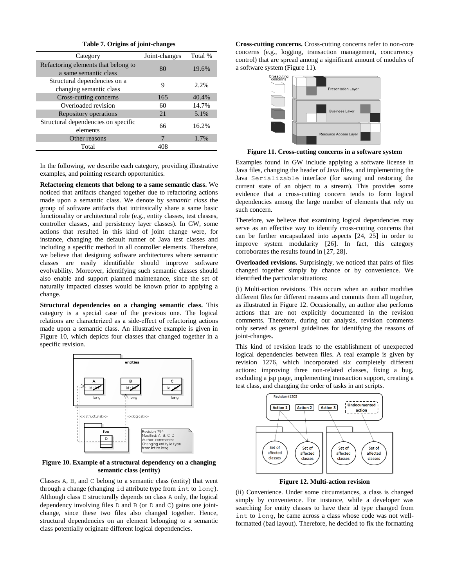|  |  |  |  | Table 7. Origins of joint-changes |
|--|--|--|--|-----------------------------------|
|--|--|--|--|-----------------------------------|

<span id="page-7-0"></span>

| Category                                                     | Joint-changes | Total % |
|--------------------------------------------------------------|---------------|---------|
| Refactoring elements that belong to<br>a same semantic class | 80            | 19.6%   |
| Structural dependencies on a<br>changing semantic class      | 9             | 2.2%    |
| Cross-cutting concerns                                       | 165           | 40.4%   |
| Overloaded revision                                          | 60            | 14.7%   |
| Repository operations                                        | 21            | 5.1%    |
| Structural dependencies on specific<br>elements              | 66            | 16.2%   |
| Other reasons                                                | 7             | 1.7%    |
| Total                                                        |               |         |

In the following, we describe each category, providing illustrative examples, and pointing research opportunities.

**Refactoring elements that belong to a same semantic class.** We noticed that artifacts changed together due to refactoring actions made upon a semantic class. We denote by *semantic class* the group of software artifacts that intrinsically share a same basic functionality or architectural role (e.g., entity classes, test classes, controller classes, and persistency layer classes). In GW, some actions that resulted in this kind of joint change were, for instance, changing the default runner of Java test classes and including a specific method in all controller elements. Therefore, we believe that designing software architectures where semantic classes are easily identifiable should improve software evolvability. Moreover, identifying such semantic classes should also enable and support planned maintenance, since the set of naturally impacted classes would be known prior to applying a change.

**Structural dependencies on a changing semantic class.** This category is a special case of the previous one. The logical relations are characterized as a side-effect of refactoring actions made upon a semantic class. An illustrative example is given in Figure 10, which depicts four classes that changed together in a specific revision.



#### **Figure 10. Example of a structural dependency on a changing semantic class (entity)**

Classes A, B, and C belong to a semantic class (entity) that went through a change (changing id attribute type from int to long). Although class D structurally depends on class A only, the logical dependency involving files  $D$  and  $B$  (or  $D$  and  $C$ ) gains one jointchange, since these two files also changed together. Hence, structural dependencies on an element belonging to a semantic class potentially originate different logical dependencies.

**Cross-cutting concerns.** Cross-cutting concerns refer to non-core concerns (e.g., logging, transaction management, concurrency control) that are spread among a significant amount of modules of a software system (Figure 11).



**Figure 11. Cross-cutting concerns in a software system**

Examples found in GW include applying a software license in Java files, changing the header of Java files, and implementing the Java Serializable interface (for saving and restoring the current state of an object to a stream). This provides some evidence that a cross-cutting concern tends to form logical dependencies among the large number of elements that rely on such concern.

Therefore, we believe that examining logical dependencies may serve as an effective way to identify cross-cutting concerns that can be further encapsulated into aspects [24, 25] in order to improve system modularity [26]. In fact, this category corroborates the results found in [27, 28].

**Overloaded revisions.** Surprisingly, we noticed that pairs of files changed together simply by chance or by convenience. We identified the particular situations:

(i) Multi-action revisions. This occurs when an author modifies different files for different reasons and commits them all together, as illustrated in Figure 12. Occasionally, an author also performs actions that are not explicitly documented in the revision comments. Therefore, during our analysis, revision comments only served as general guidelines for identifying the reasons of joint-changes.

This kind of revision leads to the establishment of unexpected logical dependencies between files. A real example is given by revision 1276, which incorporated six completely different actions: improving three non-related classes, fixing a bug, excluding a jsp page, implementing transaction support, creating a test class, and changing the order of tasks in ant scripts.



**Figure 12. Multi-action revision**

(ii) Convenience. Under some circumstances, a class is changed simply by convenience. For instance, while a developer was searching for entity classes to have their id type changed from int to long, he came across a class whose code was not wellformatted (bad layout). Therefore, he decided to fix the formatting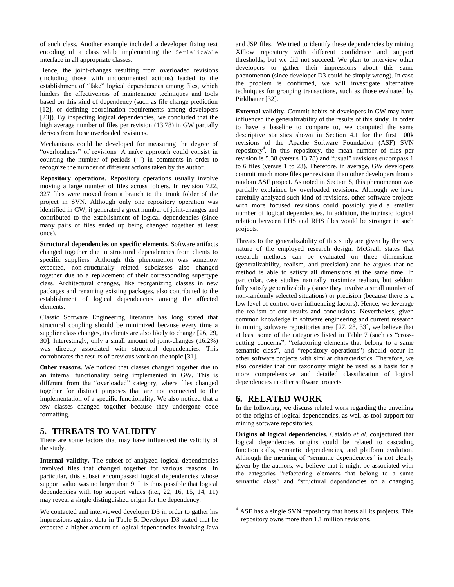of such class. Another example included a developer fixing text encoding of a class while implementing the Serializable interface in all appropriate classes.

Hence, the joint-changes resulting from overloaded revisions (including those with undocumented actions) leaded to the establishment of "fake" logical dependencies among files, which hinders the effectiveness of maintenance techniques and tools based on this kind of dependency (such as file change prediction [12], or defining coordination requirements among developers [23]). By inspecting logical dependencies, we concluded that the high average number of files per revision (13.78) in GW partially derives from these overloaded revisions.

Mechanisms could be developed for measuring the degree of "overloadness" of revisions. A naïve approach could consist in counting the number of periods ('.') in comments in order to recognize the number of different actions taken by the author.

**Repository operations.** Repository operations usually involve moving a large number of files across folders. In revision 722, 327 files were moved from a branch to the trunk folder of the project in SVN. Although only one repository operation was identified in GW, it generated a great number of joint-changes and contributed to the establishment of logical dependencies (since many pairs of files ended up being changed together at least once).

**Structural dependencies on specific elements.** Software artifacts changed together due to structural dependencies from clients to specific suppliers. Although this phenomenon was somehow expected, non-structurally related subclasses also changed together due to a replacement of their corresponding supertype class. Architectural changes, like reorganizing classes in new packages and renaming existing packages, also contributed to the establishment of logical dependencies among the affected elements.

Classic Software Engineering literature has long stated that structural coupling should be minimized because every time a supplier class changes, its clients are also likely to change [26, 29, 30]. Interestingly, only a small amount of joint-changes (16.2%) was directly associated with structural dependencies. This corroborates the results of previous work on the topic [31].

**Other reasons.** We noticed that classes changed together due to an internal functionality being implemented in GW. This is different from the "overloaded" category, where files changed together for distinct purposes that are not connected to the implementation of a specific functionality. We also noticed that a few classes changed together because they undergone code formatting.

#### **5. THREATS TO VALIDITY**

There are some factors that may have influenced the validity of the study.

**Internal validity.** The subset of analyzed logical dependencies involved files that changed together for various reasons. In particular, this subset encompassed logical dependencies whose support value was no larger than 9. It is thus possible that logical dependencies with top support values (i.e., 22, 16, 15, 14, 11) may reveal a single distinguished origin for the dependency.

We contacted and interviewed developer D3 in order to gather his impressions against data in Table 5. Developer D3 stated that he expected a higher amount of logical dependencies involving Java and JSP files. We tried to identify these dependencies by mining XFlow repository with different confidence and support thresholds, but we did not succeed. We plan to interview other developers to gather their impressions about this same phenomenon (since developer D3 could be simply wrong). In case the problem is confirmed, we will investigate alternative techniques for grouping transactions, such as those evaluated by Pirklbauer [32].

**External validity.** Commit habits of developers in GW may have influenced the generalizability of the results of this study. In order to have a baseline to compare to, we computed the same descriptive statistics shown in Section 4.1 for the first 100k revisions of the Apache Software Foundation (ASF) SVN repository<sup>4</sup> . In this repository, the mean number of files per revision is 5.38 (versus 13.78) and "usual" revisions encompass 1 to 6 files (versus 1 to 23). Therefore, in average, GW developers commit much more files per revision than other developers from a random ASF project. As noted in Section 5, this phenomenon was partially explained by overloaded revisions. Although we have carefully analyzed such kind of revisions, other software projects with more focused revisions could possibly yield a smaller number of logical dependencies. In addition, the intrinsic logical relation between LHS and RHS files would be stronger in such projects.

Threats to the generalizability of this study are given by the very nature of the employed research design. McGrath states that research methods can be evaluated on three dimensions (generalizability, realism, and precision) and he argues that no method is able to satisfy all dimensions at the same time. In particular, case studies naturally maximize realism, but seldom fully satisfy generalizability (since they involve a small number of non-randomly selected situations) or precision (because there is a low level of control over influencing factors). Hence, we leverage the realism of our results and conclusions. Nevertheless, given common knowledge in software engineering and current research in mining software repositories area [27, 28, 33], we believe that at least some of the categories listed in [Table 7](#page-7-0) (such as "crosscutting concerns", "refactoring elements that belong to a same semantic class", and "repository operations") should occur in other software projects with similar characteristics. Therefore, we also consider that our taxonomy might be used as a basis for a more comprehensive and detailed classification of logical dependencies in other software projects.

### **6. RELATED WORK**

 $\overline{a}$ 

In the following, we discuss related work regarding the unveiling of the origins of logical dependencies, as well as tool support for mining software repositories.

**Origins of logical dependencies.** Cataldo *et al.* conjectured that logical dependencies origins could be related to cascading function calls, semantic dependencies, and platform evolution. Although the meaning of "semantic dependencies" is not clearly given by the authors, we believe that it might be associated with the categories "refactoring elements that belong to a same semantic class" and "structural dependencies on a changing

<sup>4</sup> ASF has a single SVN repository that hosts all its projects. This repository owns more than 1.1 million revisions.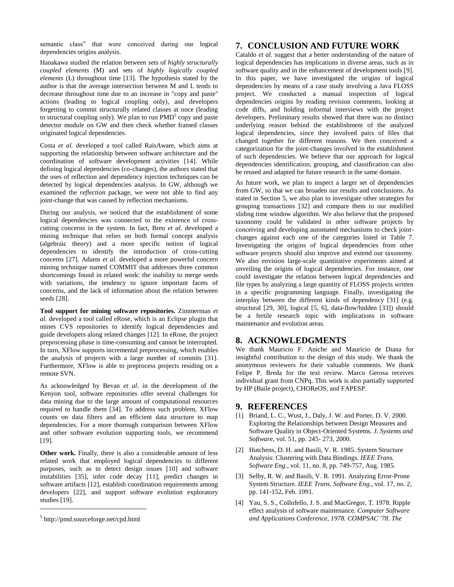semantic class" that were conceived during our logical dependencies origins analysis.

Hanakawa studied the relation between sets of *highly structurally coupled elements* (M) and sets of *highly logically coupled elements* (L) throughout time [13]. The hypothesis stated by the author is that the average intersection between M and L tends to decrease throughout time due to an increase in "copy and paste" actions (leading to logical coupling only), and developers forgetting to commit structurally related classes at once (leading to structural coupling only). We plan to run  $PMD<sup>5</sup>$  copy and paste detector module on GW and then check whether framed classes originated logical dependencies.

Costa *et al.* developed a tool called RaisAware, which aims at supporting the relationship between software architecture and the coordination of software development activities [14]. While defining logical dependencies (co-changes), the authors stated that the uses of reflection and dependency injection techniques can be detected by logical dependencies analysis. In GW, although we examined the *reflection* package, we were not able to find any joint-change that was caused by reflection mechanisms.

During our analysis, we noticed that the establishment of some logical dependencies was connected to the existence of crosscutting concerns in the system. In fact, Breu *et al.* developed a mining technique that relies on both formal concept analysis (algebraic theory) and a more specific notion of logical dependencies to identify the introduction of cross-cutting concerns [27]. Adams *et al.* developed a more powerful concern mining technique named COMMIT that addresses three common shortcomings found in related work: the inability to merge seeds with variations, the tendency to ignore important facets of concerns, and the lack of information about the relation between seeds [28].

**Tool support for mining software repositories.** Zimmerman *et al.* developed a tool called eRose, which is an Eclipse plugin that mines CVS repositories to identify logical dependencies and guide developers along related changes [12]. In eRose, the project preprocessing phase is time-consuming and cannot be interrupted. In turn, XFlow supports incremental preprocessing, which enables the analysis of projects with a large number of commits [31]. Furthermore, XFlow is able to preprocess projects residing on a remote SVN.

As acknowledged by Bevan *et al*. in the development of the Kenyon tool, software repositories offer several challenges for data mining due to the large amount of computational resources required to handle them [34]. To address such problem, XFlow counts on data filters and an efficient data structure to map dependencies. For a more thorough comparison between XFlow and other software evolution supporting tools, we recommend [19].

**Other work.** Finally, there is also a considerable amount of less related work that employed logical dependencies to different purposes, such as to detect design issues [10] and software instabilities [35], infer code decay [11], predict changes in software artifacts [12], establish coordination requirements among developers [22], and support software evolution exploratory studies [19].

l

# **7. CONCLUSION AND FUTURE WORK**

Cataldo *et al.* suggest that a better understanding of the nature of logical dependencies has implications in diverse areas, such as in software quality and in the enhancement of development tools [9]. In this paper, we have investigated the origins of logical dependencies by means of a case study involving a Java FLOSS project. We conducted a manual inspection of logical dependencies origins by reading revision comments, looking at code diffs, and holding informal interviews with the project developers. Preliminary results showed that there was no distinct underlying reason behind the establishment of the analyzed logical dependencies, since they involved pairs of files that changed together for different reasons. We then conceived a categorization for the joint-changes involved in the establishment of such dependencies. We believe that our approach for logical dependencies identification, grouping, and classification can also be reused and adapted for future research in the same domain.

As future work, we plan to inspect a larger set of dependencies from GW, so that we can broaden our results and conclusions. As stated in Section 5, we also plan to investigate other strategies for grouping transactions [32] and compare them to our modified sliding time window algorithm. We also believe that the proposed taxonomy could be validated in other software projects by conceiving and developing automated mechanisms to check jointchanges against each one of the categories listed in [Table 7.](#page-7-0) Investigating the origins of logical dependencies from other software projects should also improve and extend our taxonomy. We also envision large-scale quantitative experiments aimed at unveiling the origins of logical dependencies. For instance, one could investigate the relation between logical dependencies and file types by analyzing a large quantity of FLOSS projects written in a specific programming language. Finally, investigating the interplay between the different kinds of dependency [31] (e.g. structural [29, 30], logical [5, 6], data-flow/hidden [33]) should be a fertile research topic with implications in software maintenance and evolution areas.

#### **8. ACKNOWLEDGMENTS**

We thank Mauricio F. Aniche and Mauricio de Diana for insightful contribution to the design of this study. We thank the anonymous reviewers for their valuable comments. We thank Felipe P. Breda for the text review. Marco Gerosa receives individual grant from CNPq. This work is also partially supported by HP (Baile project), CHOReOS, and FAPESP.

#### **9. REFERENCES**

- [1] Briand, L. C., Wust, J., Daly, J. W. and Porter, D. V. 2000. Exploring the Relationships between Design Measures and Software Quality in Object-Oriented Systems. *J. Systems and Software*, vol. 51, pp. 245- 273, 2000.
- [2] Hutchens, D. H. and Basili, V. R. 1985. System Structure Analysis: Clustering with Data Bindings. *IEEE Trans. Software Eng.*, vol. 11, no. 8, pp. 749-757, Aug. 1985.
- [3] Selby, R. W. and Basili, V. R. 1991. Analyzing Error-Prone System Structure. *IEEE Trans. Software Eng.*, vol. 17, no. 2, pp. 141-152, Feb. 1991.
- [4] Yau, S. S., Collofello, J. S. and MacGregor, T. 1978. Ripple effect analysis of software maintenance. *Computer Software and Applications Conference, 1978. COMPSAC '78. The*

<sup>5</sup> http://pmd.sourceforge.net/cpd.html